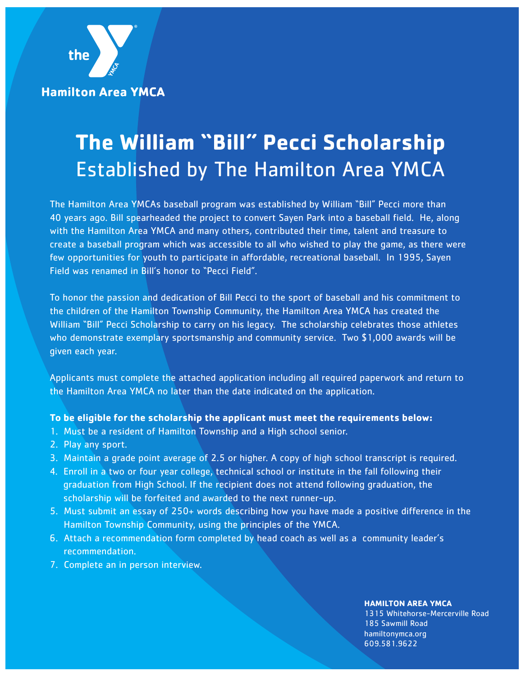**Hamilton Area YMCA** 

the

# **The William "Bill" Pecci Scholarship** Established by The Hamilton Area YMCA

The Hamilton Area YMCAs baseball program was established by William "Bill" Pecci more than 40 years ago. Bill spearheaded the project to convert Sayen Park into a baseball field. He, along with the Hamilton Area YMCA and many others, contributed their time, talent and treasure to create a baseball program which was accessible to all who wished to play the game, as there were few opportunities for youth to participate in affordable, recreational baseball. In 1995, Sayen Field was renamed in Bill's honor to "Pecci Field".

To honor the passion and dedication of Bill Pecci to the sport of baseball and his commitment to the children of the Hamilton Township Community, the Hamilton Area YMCA has created the William "Bill" Pecci Scholarship to carry on his legacy. The scholarship celebrates those athletes who demonstrate exemplary sportsmanship and community service. Two \$1,000 awards will be given each year.

Applicants must complete the attached application including all required paperwork and return to the Hamilton Area YMCA no later than the date indicated on the application.

#### **To be eligible for the scholarship the applicant must meet the requirements below:**

- 1. Must be a resident of Hamilton Township and a High school senior.
- 2. Play any sport.
- 3. Maintain a grade point average of 2.5 or higher. A copy of high school transcript is required.
- 4. Enroll in a two or four year college, technical school or institute in the fall following their graduation from High School. If the recipient does not attend following graduation, the scholarship will be forfeited and awarded to the next runner-up.
- 5. Must submit an essay of 250+ words describing how you have made a positive difference in the Hamilton Township Community, using the principles of the YMCA.
- 6. Attach a recommendation form completed by head coach as well as a community leader's recommendation.
- 7. Complete an in person interview.

#### **HAMILTON AREA YMCA**

1315 Whitehorse-Mercerville Road 185 Sawmill Road hamiltonymca.org 609.581.9622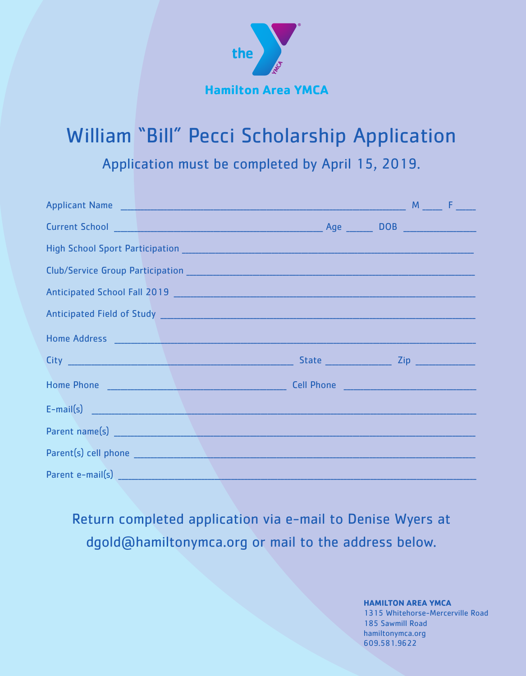

## **William "Bill" Pecci Scholarship Application**

Application must be completed by April 15, 2019.

| Club/Service Group Participation 2008 2009 2009 2010 2021 2030 2040 2051 2062 2071 2082 2083 2084 2085 2086 20                                                                                                                                                                                                                                                                          |  |  |
|-----------------------------------------------------------------------------------------------------------------------------------------------------------------------------------------------------------------------------------------------------------------------------------------------------------------------------------------------------------------------------------------|--|--|
|                                                                                                                                                                                                                                                                                                                                                                                         |  |  |
|                                                                                                                                                                                                                                                                                                                                                                                         |  |  |
|                                                                                                                                                                                                                                                                                                                                                                                         |  |  |
|                                                                                                                                                                                                                                                                                                                                                                                         |  |  |
|                                                                                                                                                                                                                                                                                                                                                                                         |  |  |
| $E-mail(s)$ $\qquad \qquad$ $\qquad \qquad$ $\qquad$ $\qquad \qquad$ $\qquad \qquad$ $\qquad \qquad$ $\qquad \qquad$ $\qquad \qquad$ $\qquad \qquad$ $\qquad \qquad$ $\qquad \qquad$ $\qquad \qquad$ $\qquad \qquad$ $\qquad \qquad$ $\qquad \qquad$ $\qquad$ $\qquad \qquad$ $\qquad \qquad$ $\qquad$ $\qquad$ $\qquad$ $\qquad$ $\qquad$ $\qquad$ $\qquad$ $\qquad$ $\qquad$ $\qquad$ |  |  |
|                                                                                                                                                                                                                                                                                                                                                                                         |  |  |
|                                                                                                                                                                                                                                                                                                                                                                                         |  |  |
| Parent e-mail(s) Management of the contract of the contract of the contract of the contract of the contract of                                                                                                                                                                                                                                                                          |  |  |

Return completed application via e-mail to Denise Wyers at dgold@hamiltonymca.org or mail to the address below.

> **HAMILTON AREA YMCA** 1315 Whitehorse-Mercerville Road 185 Sawmill Road hamiltonymca.org 609.581.9622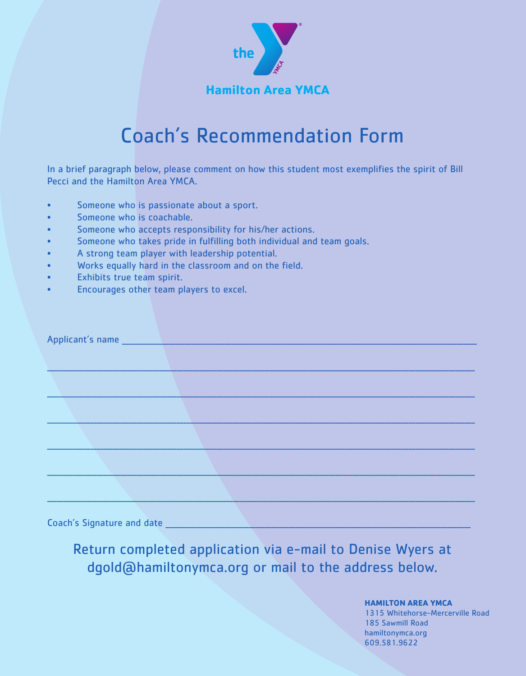

### Coach' s Recommendation Form

In a brief paragraph below, please comment on how this student most exemplifies the spirit of Bill Pecci and the Hamilton Area YMCA.

- Someone who is passionate about a sport.
- Someone who is coachable.
- Someone who accepts responsibility for his/her actions.
- Someone who takes pride in fulfilling both individual and team goals.
- A strong team player with leadership potential.
- Works equally hard in the classroom and on the field.
- Exhibits true team spirit.
- Encourages other team players to excel.

|                                                              | Applicant's name __________________________________ |  |  |
|--------------------------------------------------------------|-----------------------------------------------------|--|--|
|                                                              |                                                     |  |  |
|                                                              |                                                     |  |  |
|                                                              |                                                     |  |  |
|                                                              |                                                     |  |  |
|                                                              |                                                     |  |  |
|                                                              |                                                     |  |  |
| $\sigma$ and $\sigma$ and $\sigma$ and $\sigma$ and $\sigma$ |                                                     |  |  |

Coach's Signature and date

Return completed application via e-mail to Denise Wyers at dgold@hamiltonymca.org or mail to the address below.

### **HAMILTON AREA YMCA**

1315 Whitehorse-Mercerville Road 185 Sawmill Road hamiltonymca.org 609.581.9622